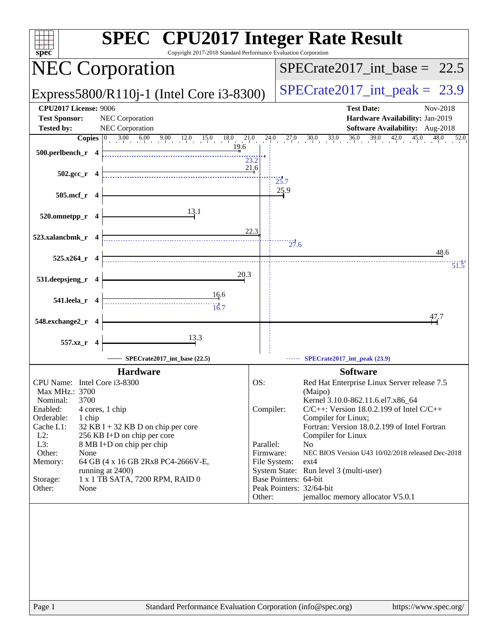| <b>SPEC<sup>®</sup></b> CPU2017 Integer Rate Result<br>Copyright 2017-2018 Standard Performance Evaluation Corporation<br>$spec^*$                                                                                                                                                                                                                                                                                                     |              |                                               |                                       |                                                                                                                                                                                                                                                                                                                                                                                                                                                           |                                                                    |          |
|----------------------------------------------------------------------------------------------------------------------------------------------------------------------------------------------------------------------------------------------------------------------------------------------------------------------------------------------------------------------------------------------------------------------------------------|--------------|-----------------------------------------------|---------------------------------------|-----------------------------------------------------------------------------------------------------------------------------------------------------------------------------------------------------------------------------------------------------------------------------------------------------------------------------------------------------------------------------------------------------------------------------------------------------------|--------------------------------------------------------------------|----------|
| <b>NEC Corporation</b>                                                                                                                                                                                                                                                                                                                                                                                                                 |              |                                               |                                       | $SPECTate2017\_int\_base = 22.5$                                                                                                                                                                                                                                                                                                                                                                                                                          |                                                                    |          |
| Express5800/R110j-1 (Intel Core i3-8300)                                                                                                                                                                                                                                                                                                                                                                                               |              |                                               |                                       | $SPECTate2017\_int\_peak = 23.9$                                                                                                                                                                                                                                                                                                                                                                                                                          |                                                                    |          |
| <b>CPU2017 License: 9006</b><br><b>Test Sponsor:</b><br><b>NEC</b> Corporation<br>NEC Corporation<br><b>Tested by:</b>                                                                                                                                                                                                                                                                                                                 |              |                                               |                                       | <b>Test Date:</b>                                                                                                                                                                                                                                                                                                                                                                                                                                         | Hardware Availability: Jan-2019<br>Software Availability: Aug-2018 | Nov-2018 |
| <b>Copies</b> $\begin{bmatrix} 0 & 3.00 & 6.00 & 9.00 & 12.0 & 15.0 & 18.0 \\ 1 & 0 & 0 & 0 & 0 & 0 & 0 \\ 0 & 0 & 0 & 0 & 0 & 0 & 0 \\ 0 & 0 & 0 & 0 & 0 & 0 & 0 \\ 0 & 0 & 0 & 0 & 0 & 0 & 0 \\ 0 & 0 & 0 & 0 & 0 & 0 & 0 \\ 0 & 0 & 0 & 0 & 0 & 0 & 0 \\ 0 & 0 & 0 & 0 & 0 & 0 & 0 \\ 0 & 0 & 0 & 0 & 0 & 0 & $                                                                                                                     | 21.0<br>19.6 | 24.0                                          |                                       | $27.0$ $30.0$ $33.0$ $36.0$ $39.0$ $42.0$ $45.0$ $48.0$                                                                                                                                                                                                                                                                                                                                                                                                   |                                                                    | 52.0     |
| 500.perlbench_r $4$                                                                                                                                                                                                                                                                                                                                                                                                                    | 23.2         |                                               |                                       |                                                                                                                                                                                                                                                                                                                                                                                                                                                           |                                                                    |          |
| $502.\text{gcc}_r$ 4                                                                                                                                                                                                                                                                                                                                                                                                                   | 21.6         |                                               | $\frac{1}{25.7}$                      |                                                                                                                                                                                                                                                                                                                                                                                                                                                           |                                                                    |          |
| 505.mcf_r 4                                                                                                                                                                                                                                                                                                                                                                                                                            |              |                                               | 25.9                                  |                                                                                                                                                                                                                                                                                                                                                                                                                                                           |                                                                    |          |
| 13.1<br>520.omnetpp_r 4                                                                                                                                                                                                                                                                                                                                                                                                                |              |                                               |                                       |                                                                                                                                                                                                                                                                                                                                                                                                                                                           |                                                                    |          |
| 523.xalancbmk_r 4                                                                                                                                                                                                                                                                                                                                                                                                                      | 22.3         |                                               | 27.6                                  |                                                                                                                                                                                                                                                                                                                                                                                                                                                           |                                                                    | 48.6     |
| $525.x264_r$ 4                                                                                                                                                                                                                                                                                                                                                                                                                         |              |                                               |                                       |                                                                                                                                                                                                                                                                                                                                                                                                                                                           |                                                                    | 51.5     |
| 531.deepsjeng_r 4                                                                                                                                                                                                                                                                                                                                                                                                                      | 20.3         |                                               |                                       |                                                                                                                                                                                                                                                                                                                                                                                                                                                           |                                                                    |          |
| 16.6<br>541.leela_r 4<br>$\begin{array}{c} \hline \text{} \\ \text{} \\ \text{} \\ \text{} \end{array}$                                                                                                                                                                                                                                                                                                                                |              |                                               |                                       |                                                                                                                                                                                                                                                                                                                                                                                                                                                           |                                                                    |          |
| 548.exchange2_r 4                                                                                                                                                                                                                                                                                                                                                                                                                      |              |                                               |                                       |                                                                                                                                                                                                                                                                                                                                                                                                                                                           |                                                                    | 47.7     |
| 13.3<br>557.xz_r 4                                                                                                                                                                                                                                                                                                                                                                                                                     |              |                                               |                                       |                                                                                                                                                                                                                                                                                                                                                                                                                                                           |                                                                    |          |
| SPECrate2017_int_base (22.5)                                                                                                                                                                                                                                                                                                                                                                                                           |              |                                               |                                       | SPECrate2017_int_peak (23.9)                                                                                                                                                                                                                                                                                                                                                                                                                              |                                                                    |          |
| <b>Hardware</b><br>CPU Name: Intel Core i3-8300<br>Max MHz.: 3700<br>3700<br>Nominal:<br>Enabled:<br>4 cores, 1 chip<br>Orderable:<br>1 chip<br>Cache L1:<br>$32$ KB I + 32 KB D on chip per core<br>$L2$ :<br>256 KB I+D on chip per core<br>L3:<br>8 MB I+D on chip per chip<br>Other:<br>None<br>Memory:<br>64 GB (4 x 16 GB 2Rx8 PC4-2666V-E,<br>running at 2400)<br>1 x 1 TB SATA, 7200 RPM, RAID 0<br>Storage:<br>Other:<br>None | OS:          | Compiler:<br>Parallel:<br>Firmware:<br>Other: | File System:<br>Base Pointers: 64-bit | <b>Software</b><br>Red Hat Enterprise Linux Server release 7.5<br>(Maipo)<br>Kernel 3.10.0-862.11.6.el7.x86_64<br>$C/C++$ : Version 18.0.2.199 of Intel $C/C++$<br>Compiler for Linux;<br>Fortran: Version 18.0.2.199 of Intel Fortran<br>Compiler for Linux<br>N <sub>0</sub><br>NEC BIOS Version U43 10/02/2018 released Dec-2018<br>$ext{4}$<br>System State: Run level 3 (multi-user)<br>Peak Pointers: 32/64-bit<br>jemalloc memory allocator V5.0.1 |                                                                    |          |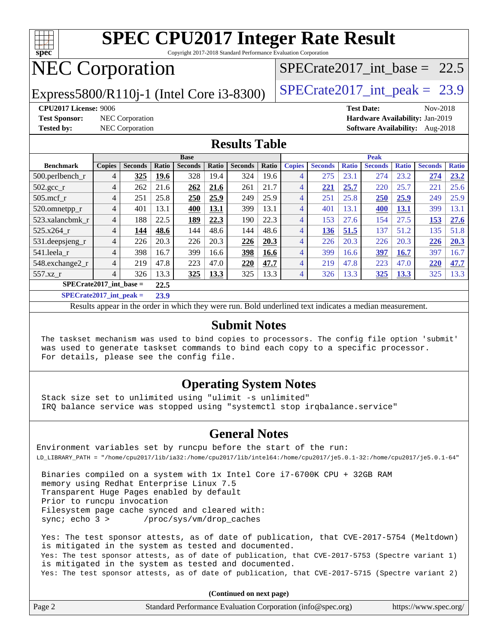

Copyright 2017-2018 Standard Performance Evaluation Corporation

# NEC Corporation

Express5800/R110j-1 (Intel Core i3-8300)  $\vert$  [SPECrate2017\\_int\\_peak =](http://www.spec.org/auto/cpu2017/Docs/result-fields.html#SPECrate2017intpeak) 23.9

SPECrate2017 int\_base =  $22.5$ 

**[CPU2017 License:](http://www.spec.org/auto/cpu2017/Docs/result-fields.html#CPU2017License)** 9006 **[Test Date:](http://www.spec.org/auto/cpu2017/Docs/result-fields.html#TestDate)** Nov-2018 **[Test Sponsor:](http://www.spec.org/auto/cpu2017/Docs/result-fields.html#TestSponsor)** NEC Corporation **[Hardware Availability:](http://www.spec.org/auto/cpu2017/Docs/result-fields.html#HardwareAvailability)** Jan-2019 **[Tested by:](http://www.spec.org/auto/cpu2017/Docs/result-fields.html#Testedby)** NEC Corporation **[Software Availability:](http://www.spec.org/auto/cpu2017/Docs/result-fields.html#SoftwareAvailability)** Aug-2018

#### **[Results Table](http://www.spec.org/auto/cpu2017/Docs/result-fields.html#ResultsTable)**

|                              |                |                |        | <b>Base</b>    |       |                |       | <b>Peak</b>   |                |              |                |              |                |              |
|------------------------------|----------------|----------------|--------|----------------|-------|----------------|-------|---------------|----------------|--------------|----------------|--------------|----------------|--------------|
| <b>Benchmark</b>             | <b>Copies</b>  | <b>Seconds</b> | Ratio  | <b>Seconds</b> | Ratio | <b>Seconds</b> | Ratio | <b>Copies</b> | <b>Seconds</b> | <b>Ratio</b> | <b>Seconds</b> | <b>Ratio</b> | <b>Seconds</b> | <b>Ratio</b> |
| 500.perlbench_r              | 4              | 325            | 19.6   | 328            | 19.4  | 324            | 19.6  | 4             | 275            | 23.1         | 274            | 23.2         | 274            | 23.2         |
| $502.\text{gcc}$             | 4              | 262            | 21.6   | 262            | 21.6  | 261            | 21.7  | 4             | 221            | 25.7         | 220            | 25.7         | 221            | 25.6         |
| $505$ .mcf r                 | $\overline{4}$ | 251            | 25.8   | 250            | 25.9  | 249            | 25.9  | 4             | 251            | 25.8         | 250            | 25.9         | 249            | 25.9         |
| 520.omnetpp_r                | $\overline{4}$ | 401            | 13.1   | 400            | 13.1  | 399            | 13.1  | 4             | 401            | 13.1         | 400            | 13.1         | 399            | 13.1         |
| 523.xalancbmk r              | 4              | 188            | 22.5   | 189            | 22.3  | 190            | 22.3  | 4             | 153            | 27.6         | 154            | 27.5         | 153            | 27.6         |
| 525.x264 r                   | 4              | 144            | 48.6   | 144            | 48.6  | 144            | 48.6  | 4             | 136            | 51.5         | 137            | 51.2         | 135            | 51.8         |
| $531.$ deepsjeng $_r$        | 4              | 226            | 20.3   | 226            | 20.3  | 226            | 20.3  | 4             | 226            | 20.3         | 226            | 20.3         | 226            | 20.3         |
| 541.leela_r                  | 4              | 398            | 16.7   | 399            | 16.6  | 398            | 16.6  | 4             | 399            | 16.6         | 397            | 16.7         | 397            | 16.7         |
| 548.exchange2_r              | 4              | 219            | 47.8   | 223            | 47.0  | 220            | 47.7  | 4             | 219            | 47.8         | 223            | 47.0         | 220            | 47.7         |
| 557.xz                       | 4              | 326            | 13.3   | 325            | 13.3  | 325            | 13.3  | 4             | 326            | 13.3         | <u>325</u>     | <u>13.3</u>  | 325            | 13.3         |
| $SPECrate2017$ int base =    |                |                | 22.5   |                |       |                |       |               |                |              |                |              |                |              |
| $CDDLO \rightarrow A04B + I$ |                |                | $\sim$ |                |       |                |       |               |                |              |                |              |                |              |

**[SPECrate2017\\_int\\_peak =](http://www.spec.org/auto/cpu2017/Docs/result-fields.html#SPECrate2017intpeak) 23.9**

Results appear in the [order in which they were run](http://www.spec.org/auto/cpu2017/Docs/result-fields.html#RunOrder). Bold underlined text [indicates a median measurement](http://www.spec.org/auto/cpu2017/Docs/result-fields.html#Median).

#### **[Submit Notes](http://www.spec.org/auto/cpu2017/Docs/result-fields.html#SubmitNotes)**

 The taskset mechanism was used to bind copies to processors. The config file option 'submit' was used to generate taskset commands to bind each copy to a specific processor. For details, please see the config file.

### **[Operating System Notes](http://www.spec.org/auto/cpu2017/Docs/result-fields.html#OperatingSystemNotes)**

 Stack size set to unlimited using "ulimit -s unlimited" IRQ balance service was stopped using "systemctl stop irqbalance.service"

#### **[General Notes](http://www.spec.org/auto/cpu2017/Docs/result-fields.html#GeneralNotes)**

Environment variables set by runcpu before the start of the run: LD\_LIBRARY\_PATH = "/home/cpu2017/lib/ia32:/home/cpu2017/lib/intel64:/home/cpu2017/je5.0.1-32:/home/cpu2017/je5.0.1-64"

 Binaries compiled on a system with 1x Intel Core i7-6700K CPU + 32GB RAM memory using Redhat Enterprise Linux 7.5 Transparent Huge Pages enabled by default Prior to runcpu invocation Filesystem page cache synced and cleared with: sync; echo 3 > /proc/sys/vm/drop\_caches

 Yes: The test sponsor attests, as of date of publication, that CVE-2017-5754 (Meltdown) is mitigated in the system as tested and documented. Yes: The test sponsor attests, as of date of publication, that CVE-2017-5753 (Spectre variant 1) is mitigated in the system as tested and documented. Yes: The test sponsor attests, as of date of publication, that CVE-2017-5715 (Spectre variant 2)

**(Continued on next page)**

| Page 2<br>Standard Performance Evaluation Corporation (info@spec.org) | https://www.spec.org/ |
|-----------------------------------------------------------------------|-----------------------|
|-----------------------------------------------------------------------|-----------------------|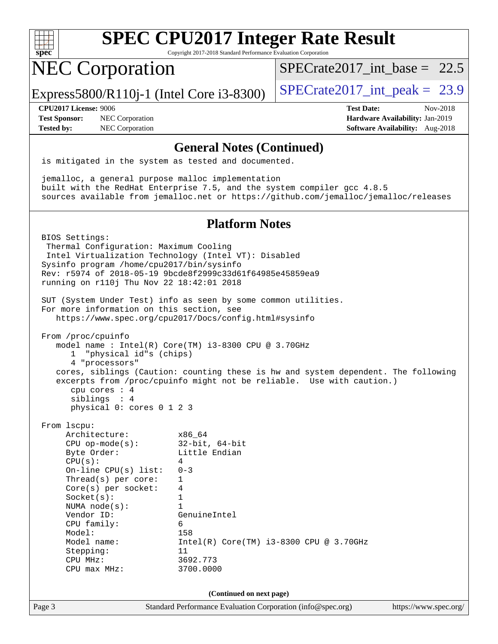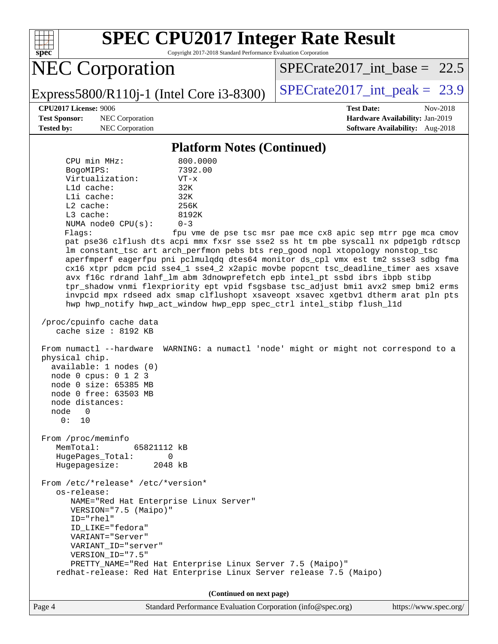

Copyright 2017-2018 Standard Performance Evaluation Corporation

NEC Corporation

SPECrate2017 int\_base =  $22.5$ 

Express5800/R110j-1 (Intel Core i3-8300)  $\vert$  [SPECrate2017\\_int\\_peak =](http://www.spec.org/auto/cpu2017/Docs/result-fields.html#SPECrate2017intpeak) 23.9

**[Test Sponsor:](http://www.spec.org/auto/cpu2017/Docs/result-fields.html#TestSponsor)** NEC Corporation **[Hardware Availability:](http://www.spec.org/auto/cpu2017/Docs/result-fields.html#HardwareAvailability)** Jan-2019

**[CPU2017 License:](http://www.spec.org/auto/cpu2017/Docs/result-fields.html#CPU2017License)** 9006 **[Test Date:](http://www.spec.org/auto/cpu2017/Docs/result-fields.html#TestDate)** Nov-2018 **[Tested by:](http://www.spec.org/auto/cpu2017/Docs/result-fields.html#Testedby)** NEC Corporation **[Software Availability:](http://www.spec.org/auto/cpu2017/Docs/result-fields.html#SoftwareAvailability)** Aug-2018

#### **[Platform Notes \(Continued\)](http://www.spec.org/auto/cpu2017/Docs/result-fields.html#PlatformNotes)**

| CPU min MHz:            | 800.0000       |
|-------------------------|----------------|
| BogoMIPS:               | 7392.00        |
| Virtualization:         | $VT - x$       |
| $L1d$ cache:            | 32K            |
| $L1i$ cache:            | 32K            |
| $L2$ cache:             | 256K           |
| $L3$ cache:             | 8192K          |
| NUMA $node0$ $CPU(s)$ : | $0 - 3$        |
| Flaqs:                  | fpu vme de pse |

tsc msr pae mce cx8 apic sep mtrr pge mca cmov pat pse36 clflush dts acpi mmx fxsr sse sse2 ss ht tm pbe syscall nx pdpe1gb rdtscp lm constant\_tsc art arch\_perfmon pebs bts rep\_good nopl xtopology nonstop\_tsc aperfmperf eagerfpu pni pclmulqdq dtes64 monitor ds\_cpl vmx est tm2 ssse3 sdbg fma cx16 xtpr pdcm pcid sse4\_1 sse4\_2 x2apic movbe popcnt tsc\_deadline\_timer aes xsave avx f16c rdrand lahf\_lm abm 3dnowprefetch epb intel\_pt ssbd ibrs ibpb stibp tpr\_shadow vnmi flexpriority ept vpid fsgsbase tsc\_adjust bmi1 avx2 smep bmi2 erms invpcid mpx rdseed adx smap clflushopt xsaveopt xsavec xgetbv1 dtherm arat pln pts hwp hwp\_notify hwp\_act\_window hwp\_epp spec\_ctrl intel\_stibp flush\_l1d

 /proc/cpuinfo cache data cache size : 8192 KB

 From numactl --hardware WARNING: a numactl 'node' might or might not correspond to a physical chip. available: 1 nodes (0) node 0 cpus: 0 1 2 3 node 0 size: 65385 MB

 node 0 free: 63503 MB node distances: node 0

0: 10

 From /proc/meminfo MemTotal: 65821112 kB HugePages\_Total: 0 Hugepagesize: 2048 kB

 From /etc/\*release\* /etc/\*version\* os-release: NAME="Red Hat Enterprise Linux Server" VERSION="7.5 (Maipo)" ID="rhel" ID\_LIKE="fedora" VARIANT="Server" VARIANT\_ID="server" VERSION\_ID="7.5" PRETTY\_NAME="Red Hat Enterprise Linux Server 7.5 (Maipo)" redhat-release: Red Hat Enterprise Linux Server release 7.5 (Maipo)

**(Continued on next page)**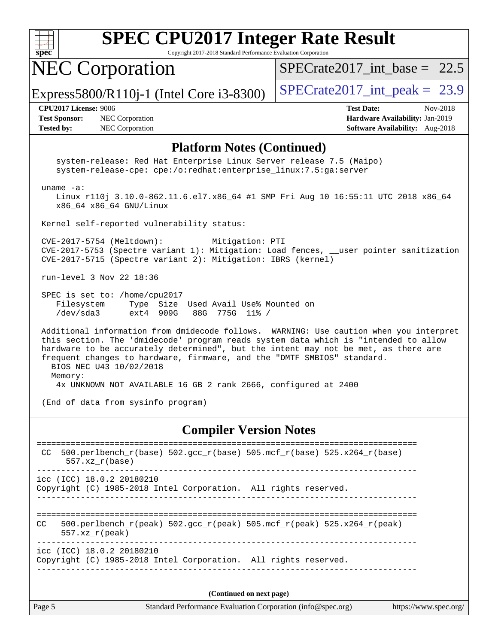

Copyright 2017-2018 Standard Performance Evaluation Corporation

NEC Corporation

SPECrate2017 int\_base =  $22.5$ 

Express5800/R110j-1 (Intel Core i3-8300)  $\vert$  [SPECrate2017\\_int\\_peak =](http://www.spec.org/auto/cpu2017/Docs/result-fields.html#SPECrate2017intpeak) 23.9

**[Test Sponsor:](http://www.spec.org/auto/cpu2017/Docs/result-fields.html#TestSponsor)** NEC Corporation **[Hardware Availability:](http://www.spec.org/auto/cpu2017/Docs/result-fields.html#HardwareAvailability)** Jan-2019 **[Tested by:](http://www.spec.org/auto/cpu2017/Docs/result-fields.html#Testedby)** NEC Corporation **[Software Availability:](http://www.spec.org/auto/cpu2017/Docs/result-fields.html#SoftwareAvailability)** Aug-2018

**[CPU2017 License:](http://www.spec.org/auto/cpu2017/Docs/result-fields.html#CPU2017License)** 9006 **[Test Date:](http://www.spec.org/auto/cpu2017/Docs/result-fields.html#TestDate)** Nov-2018

#### **[Platform Notes \(Continued\)](http://www.spec.org/auto/cpu2017/Docs/result-fields.html#PlatformNotes)**

 system-release: Red Hat Enterprise Linux Server release 7.5 (Maipo) system-release-cpe: cpe:/o:redhat:enterprise\_linux:7.5:ga:server

uname -a:

 Linux r110j 3.10.0-862.11.6.el7.x86\_64 #1 SMP Fri Aug 10 16:55:11 UTC 2018 x86\_64 x86\_64 x86\_64 GNU/Linux

Kernel self-reported vulnerability status:

 CVE-2017-5754 (Meltdown): Mitigation: PTI CVE-2017-5753 (Spectre variant 1): Mitigation: Load fences, \_\_user pointer sanitization CVE-2017-5715 (Spectre variant 2): Mitigation: IBRS (kernel)

run-level 3 Nov 22 18:36

 SPEC is set to: /home/cpu2017 Filesystem Type Size Used Avail Use% Mounted on /dev/sda3 ext4 909G 88G 775G 11% /

 Additional information from dmidecode follows. WARNING: Use caution when you interpret this section. The 'dmidecode' program reads system data which is "intended to allow hardware to be accurately determined", but the intent may not be met, as there are frequent changes to hardware, firmware, and the "DMTF SMBIOS" standard. BIOS NEC U43 10/02/2018 Memory:

4x UNKNOWN NOT AVAILABLE 16 GB 2 rank 2666, configured at 2400

(End of data from sysinfo program)

#### **[Compiler Version Notes](http://www.spec.org/auto/cpu2017/Docs/result-fields.html#CompilerVersionNotes)**

| CC  | 500.perlbench_r(base) 502.gcc_r(base) 505.mcf_r(base) 525.x264_r(base)<br>$557.xx$ $r(base)$                                   |                             |
|-----|--------------------------------------------------------------------------------------------------------------------------------|-----------------------------|
|     | icc (ICC) 18.0.2 20180210<br>Copyright (C) 1985-2018 Intel Corporation. All rights reserved.                                   |                             |
| CC. | 500.perlbench $r(\text{peak})$ 502.gcc $r(\text{peak})$ 505.mcf $r(\text{peak})$ 525.x264 $r(\text{peak})$<br>$557.xx$ r(peak) |                             |
|     | icc (ICC) 18.0.2 20180210<br>Copyright (C) 1985-2018 Intel Corporation. All rights reserved.                                   |                             |
|     |                                                                                                                                |                             |
|     |                                                                                                                                | $\sim$ $\sim$ $\sim$ $\sim$ |

**(Continued on next page)**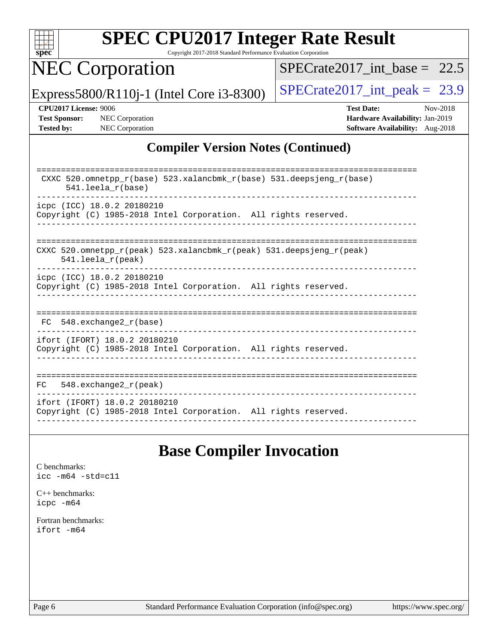

Copyright 2017-2018 Standard Performance Evaluation Corporation

NEC Corporation

[SPECrate2017\\_int\\_base =](http://www.spec.org/auto/cpu2017/Docs/result-fields.html#SPECrate2017intbase) 22.5

Express5800/R110j-1 (Intel Core i3-8300)  $\vert$  [SPECrate2017\\_int\\_peak =](http://www.spec.org/auto/cpu2017/Docs/result-fields.html#SPECrate2017intpeak) 23.9

**[CPU2017 License:](http://www.spec.org/auto/cpu2017/Docs/result-fields.html#CPU2017License)** 9006 **[Test Date:](http://www.spec.org/auto/cpu2017/Docs/result-fields.html#TestDate)** Nov-2018 **[Test Sponsor:](http://www.spec.org/auto/cpu2017/Docs/result-fields.html#TestSponsor)** NEC Corporation **[Hardware Availability:](http://www.spec.org/auto/cpu2017/Docs/result-fields.html#HardwareAvailability)** Jan-2019 **[Tested by:](http://www.spec.org/auto/cpu2017/Docs/result-fields.html#Testedby)** NEC Corporation **[Software Availability:](http://www.spec.org/auto/cpu2017/Docs/result-fields.html#SoftwareAvailability)** Aug-2018

### **[Compiler Version Notes \(Continued\)](http://www.spec.org/auto/cpu2017/Docs/result-fields.html#CompilerVersionNotes)**

| CXXC 520.omnetpp_r(base) 523.xalancbmk_r(base) 531.deepsjeng_r(base)<br>$541.$ leela r(base)    |
|-------------------------------------------------------------------------------------------------|
| icpc (ICC) 18.0.2 20180210                                                                      |
| Copyright (C) 1985-2018 Intel Corporation. All rights reserved.                                 |
|                                                                                                 |
|                                                                                                 |
| CXXC 520.omnetpp $r(\text{peak})$ 523.xalancbmk $r(\text{peak})$ 531.deepsjeng $r(\text{peak})$ |
| $541.$ leela $r$ (peak)                                                                         |
| icpc (ICC) 18.0.2 20180210                                                                      |
| Copyright (C) 1985-2018 Intel Corporation. All rights reserved.                                 |
|                                                                                                 |
|                                                                                                 |
|                                                                                                 |
| 548.exchange2 r(base)<br>FC.                                                                    |
|                                                                                                 |
| ifort (IFORT) 18.0.2 20180210                                                                   |
| Copyright (C) 1985-2018 Intel Corporation. All rights reserved.                                 |
|                                                                                                 |
|                                                                                                 |
| 548.exchange2_r(peak)<br>FC                                                                     |
|                                                                                                 |
| ifort (IFORT) 18.0.2 20180210                                                                   |
| Copyright (C) 1985-2018 Intel Corporation. All rights reserved.                                 |
|                                                                                                 |

# **[Base Compiler Invocation](http://www.spec.org/auto/cpu2017/Docs/result-fields.html#BaseCompilerInvocation)**

[C benchmarks](http://www.spec.org/auto/cpu2017/Docs/result-fields.html#Cbenchmarks): [icc -m64 -std=c11](http://www.spec.org/cpu2017/results/res2018q4/cpu2017-20181210-10089.flags.html#user_CCbase_intel_icc_64bit_c11_33ee0cdaae7deeeab2a9725423ba97205ce30f63b9926c2519791662299b76a0318f32ddfffdc46587804de3178b4f9328c46fa7c2b0cd779d7a61945c91cd35)

[C++ benchmarks:](http://www.spec.org/auto/cpu2017/Docs/result-fields.html#CXXbenchmarks) [icpc -m64](http://www.spec.org/cpu2017/results/res2018q4/cpu2017-20181210-10089.flags.html#user_CXXbase_intel_icpc_64bit_4ecb2543ae3f1412ef961e0650ca070fec7b7afdcd6ed48761b84423119d1bf6bdf5cad15b44d48e7256388bc77273b966e5eb805aefd121eb22e9299b2ec9d9)

[Fortran benchmarks](http://www.spec.org/auto/cpu2017/Docs/result-fields.html#Fortranbenchmarks): [ifort -m64](http://www.spec.org/cpu2017/results/res2018q4/cpu2017-20181210-10089.flags.html#user_FCbase_intel_ifort_64bit_24f2bb282fbaeffd6157abe4f878425411749daecae9a33200eee2bee2fe76f3b89351d69a8130dd5949958ce389cf37ff59a95e7a40d588e8d3a57e0c3fd751)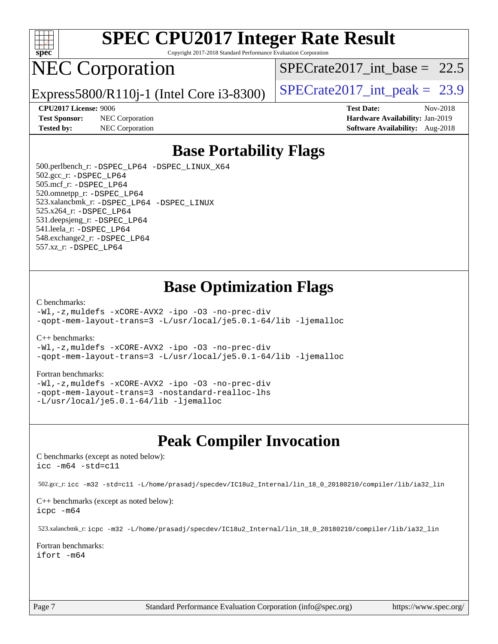

Copyright 2017-2018 Standard Performance Evaluation Corporation

# NEC Corporation

Express5800/R110j-1 (Intel Core i3-8300)  $\vert$  [SPECrate2017\\_int\\_peak =](http://www.spec.org/auto/cpu2017/Docs/result-fields.html#SPECrate2017intpeak) 23.9

SPECrate2017 int\_base =  $22.5$ 

**[Test Sponsor:](http://www.spec.org/auto/cpu2017/Docs/result-fields.html#TestSponsor)** NEC Corporation **[Hardware Availability:](http://www.spec.org/auto/cpu2017/Docs/result-fields.html#HardwareAvailability)** Jan-2019

**[CPU2017 License:](http://www.spec.org/auto/cpu2017/Docs/result-fields.html#CPU2017License)** 9006 **[Test Date:](http://www.spec.org/auto/cpu2017/Docs/result-fields.html#TestDate)** Nov-2018 **[Tested by:](http://www.spec.org/auto/cpu2017/Docs/result-fields.html#Testedby)** NEC Corporation **[Software Availability:](http://www.spec.org/auto/cpu2017/Docs/result-fields.html#SoftwareAvailability)** Aug-2018

# **[Base Portability Flags](http://www.spec.org/auto/cpu2017/Docs/result-fields.html#BasePortabilityFlags)**

 500.perlbench\_r: [-DSPEC\\_LP64](http://www.spec.org/cpu2017/results/res2018q4/cpu2017-20181210-10089.flags.html#b500.perlbench_r_basePORTABILITY_DSPEC_LP64) [-DSPEC\\_LINUX\\_X64](http://www.spec.org/cpu2017/results/res2018q4/cpu2017-20181210-10089.flags.html#b500.perlbench_r_baseCPORTABILITY_DSPEC_LINUX_X64) 502.gcc\_r: [-DSPEC\\_LP64](http://www.spec.org/cpu2017/results/res2018q4/cpu2017-20181210-10089.flags.html#suite_basePORTABILITY502_gcc_r_DSPEC_LP64) 505.mcf\_r: [-DSPEC\\_LP64](http://www.spec.org/cpu2017/results/res2018q4/cpu2017-20181210-10089.flags.html#suite_basePORTABILITY505_mcf_r_DSPEC_LP64) 520.omnetpp\_r: [-DSPEC\\_LP64](http://www.spec.org/cpu2017/results/res2018q4/cpu2017-20181210-10089.flags.html#suite_basePORTABILITY520_omnetpp_r_DSPEC_LP64) 523.xalancbmk\_r: [-DSPEC\\_LP64](http://www.spec.org/cpu2017/results/res2018q4/cpu2017-20181210-10089.flags.html#suite_basePORTABILITY523_xalancbmk_r_DSPEC_LP64) [-DSPEC\\_LINUX](http://www.spec.org/cpu2017/results/res2018q4/cpu2017-20181210-10089.flags.html#b523.xalancbmk_r_baseCXXPORTABILITY_DSPEC_LINUX) 525.x264\_r: [-DSPEC\\_LP64](http://www.spec.org/cpu2017/results/res2018q4/cpu2017-20181210-10089.flags.html#suite_basePORTABILITY525_x264_r_DSPEC_LP64) 531.deepsjeng\_r: [-DSPEC\\_LP64](http://www.spec.org/cpu2017/results/res2018q4/cpu2017-20181210-10089.flags.html#suite_basePORTABILITY531_deepsjeng_r_DSPEC_LP64) 541.leela\_r: [-DSPEC\\_LP64](http://www.spec.org/cpu2017/results/res2018q4/cpu2017-20181210-10089.flags.html#suite_basePORTABILITY541_leela_r_DSPEC_LP64) 548.exchange2\_r: [-DSPEC\\_LP64](http://www.spec.org/cpu2017/results/res2018q4/cpu2017-20181210-10089.flags.html#suite_basePORTABILITY548_exchange2_r_DSPEC_LP64) 557.xz\_r: [-DSPEC\\_LP64](http://www.spec.org/cpu2017/results/res2018q4/cpu2017-20181210-10089.flags.html#suite_basePORTABILITY557_xz_r_DSPEC_LP64)

# **[Base Optimization Flags](http://www.spec.org/auto/cpu2017/Docs/result-fields.html#BaseOptimizationFlags)**

#### [C benchmarks](http://www.spec.org/auto/cpu2017/Docs/result-fields.html#Cbenchmarks):

[-Wl,-z,muldefs](http://www.spec.org/cpu2017/results/res2018q4/cpu2017-20181210-10089.flags.html#user_CCbase_link_force_multiple1_b4cbdb97b34bdee9ceefcfe54f4c8ea74255f0b02a4b23e853cdb0e18eb4525ac79b5a88067c842dd0ee6996c24547a27a4b99331201badda8798ef8a743f577) [-xCORE-AVX2](http://www.spec.org/cpu2017/results/res2018q4/cpu2017-20181210-10089.flags.html#user_CCbase_f-xCORE-AVX2) [-ipo](http://www.spec.org/cpu2017/results/res2018q4/cpu2017-20181210-10089.flags.html#user_CCbase_f-ipo) [-O3](http://www.spec.org/cpu2017/results/res2018q4/cpu2017-20181210-10089.flags.html#user_CCbase_f-O3) [-no-prec-div](http://www.spec.org/cpu2017/results/res2018q4/cpu2017-20181210-10089.flags.html#user_CCbase_f-no-prec-div) [-qopt-mem-layout-trans=3](http://www.spec.org/cpu2017/results/res2018q4/cpu2017-20181210-10089.flags.html#user_CCbase_f-qopt-mem-layout-trans_de80db37974c74b1f0e20d883f0b675c88c3b01e9d123adea9b28688d64333345fb62bc4a798493513fdb68f60282f9a726aa07f478b2f7113531aecce732043) [-L/usr/local/je5.0.1-64/lib](http://www.spec.org/cpu2017/results/res2018q4/cpu2017-20181210-10089.flags.html#user_CCbase_jemalloc_link_path64_4b10a636b7bce113509b17f3bd0d6226c5fb2346b9178c2d0232c14f04ab830f976640479e5c33dc2bcbbdad86ecfb6634cbbd4418746f06f368b512fced5394) [-ljemalloc](http://www.spec.org/cpu2017/results/res2018q4/cpu2017-20181210-10089.flags.html#user_CCbase_jemalloc_link_lib_d1249b907c500fa1c0672f44f562e3d0f79738ae9e3c4a9c376d49f265a04b9c99b167ecedbf6711b3085be911c67ff61f150a17b3472be731631ba4d0471706)

#### [C++ benchmarks:](http://www.spec.org/auto/cpu2017/Docs/result-fields.html#CXXbenchmarks)

[-Wl,-z,muldefs](http://www.spec.org/cpu2017/results/res2018q4/cpu2017-20181210-10089.flags.html#user_CXXbase_link_force_multiple1_b4cbdb97b34bdee9ceefcfe54f4c8ea74255f0b02a4b23e853cdb0e18eb4525ac79b5a88067c842dd0ee6996c24547a27a4b99331201badda8798ef8a743f577) [-xCORE-AVX2](http://www.spec.org/cpu2017/results/res2018q4/cpu2017-20181210-10089.flags.html#user_CXXbase_f-xCORE-AVX2) [-ipo](http://www.spec.org/cpu2017/results/res2018q4/cpu2017-20181210-10089.flags.html#user_CXXbase_f-ipo) [-O3](http://www.spec.org/cpu2017/results/res2018q4/cpu2017-20181210-10089.flags.html#user_CXXbase_f-O3) [-no-prec-div](http://www.spec.org/cpu2017/results/res2018q4/cpu2017-20181210-10089.flags.html#user_CXXbase_f-no-prec-div) [-qopt-mem-layout-trans=3](http://www.spec.org/cpu2017/results/res2018q4/cpu2017-20181210-10089.flags.html#user_CXXbase_f-qopt-mem-layout-trans_de80db37974c74b1f0e20d883f0b675c88c3b01e9d123adea9b28688d64333345fb62bc4a798493513fdb68f60282f9a726aa07f478b2f7113531aecce732043) [-L/usr/local/je5.0.1-64/lib](http://www.spec.org/cpu2017/results/res2018q4/cpu2017-20181210-10089.flags.html#user_CXXbase_jemalloc_link_path64_4b10a636b7bce113509b17f3bd0d6226c5fb2346b9178c2d0232c14f04ab830f976640479e5c33dc2bcbbdad86ecfb6634cbbd4418746f06f368b512fced5394) [-ljemalloc](http://www.spec.org/cpu2017/results/res2018q4/cpu2017-20181210-10089.flags.html#user_CXXbase_jemalloc_link_lib_d1249b907c500fa1c0672f44f562e3d0f79738ae9e3c4a9c376d49f265a04b9c99b167ecedbf6711b3085be911c67ff61f150a17b3472be731631ba4d0471706)

#### [Fortran benchmarks](http://www.spec.org/auto/cpu2017/Docs/result-fields.html#Fortranbenchmarks):

[-Wl,-z,muldefs](http://www.spec.org/cpu2017/results/res2018q4/cpu2017-20181210-10089.flags.html#user_FCbase_link_force_multiple1_b4cbdb97b34bdee9ceefcfe54f4c8ea74255f0b02a4b23e853cdb0e18eb4525ac79b5a88067c842dd0ee6996c24547a27a4b99331201badda8798ef8a743f577) [-xCORE-AVX2](http://www.spec.org/cpu2017/results/res2018q4/cpu2017-20181210-10089.flags.html#user_FCbase_f-xCORE-AVX2) [-ipo](http://www.spec.org/cpu2017/results/res2018q4/cpu2017-20181210-10089.flags.html#user_FCbase_f-ipo) [-O3](http://www.spec.org/cpu2017/results/res2018q4/cpu2017-20181210-10089.flags.html#user_FCbase_f-O3) [-no-prec-div](http://www.spec.org/cpu2017/results/res2018q4/cpu2017-20181210-10089.flags.html#user_FCbase_f-no-prec-div) [-qopt-mem-layout-trans=3](http://www.spec.org/cpu2017/results/res2018q4/cpu2017-20181210-10089.flags.html#user_FCbase_f-qopt-mem-layout-trans_de80db37974c74b1f0e20d883f0b675c88c3b01e9d123adea9b28688d64333345fb62bc4a798493513fdb68f60282f9a726aa07f478b2f7113531aecce732043) [-nostandard-realloc-lhs](http://www.spec.org/cpu2017/results/res2018q4/cpu2017-20181210-10089.flags.html#user_FCbase_f_2003_std_realloc_82b4557e90729c0f113870c07e44d33d6f5a304b4f63d4c15d2d0f1fab99f5daaed73bdb9275d9ae411527f28b936061aa8b9c8f2d63842963b95c9dd6426b8a) [-L/usr/local/je5.0.1-64/lib](http://www.spec.org/cpu2017/results/res2018q4/cpu2017-20181210-10089.flags.html#user_FCbase_jemalloc_link_path64_4b10a636b7bce113509b17f3bd0d6226c5fb2346b9178c2d0232c14f04ab830f976640479e5c33dc2bcbbdad86ecfb6634cbbd4418746f06f368b512fced5394) [-ljemalloc](http://www.spec.org/cpu2017/results/res2018q4/cpu2017-20181210-10089.flags.html#user_FCbase_jemalloc_link_lib_d1249b907c500fa1c0672f44f562e3d0f79738ae9e3c4a9c376d49f265a04b9c99b167ecedbf6711b3085be911c67ff61f150a17b3472be731631ba4d0471706)

### **[Peak Compiler Invocation](http://www.spec.org/auto/cpu2017/Docs/result-fields.html#PeakCompilerInvocation)**

[C benchmarks \(except as noted below\)](http://www.spec.org/auto/cpu2017/Docs/result-fields.html#Cbenchmarksexceptasnotedbelow): [icc -m64 -std=c11](http://www.spec.org/cpu2017/results/res2018q4/cpu2017-20181210-10089.flags.html#user_CCpeak_intel_icc_64bit_c11_33ee0cdaae7deeeab2a9725423ba97205ce30f63b9926c2519791662299b76a0318f32ddfffdc46587804de3178b4f9328c46fa7c2b0cd779d7a61945c91cd35)

502.gcc\_r: [icc -m32 -std=c11 -L/home/prasadj/specdev/IC18u2\\_Internal/lin\\_18\\_0\\_20180210/compiler/lib/ia32\\_lin](http://www.spec.org/cpu2017/results/res2018q4/cpu2017-20181210-10089.flags.html#user_peakCCLD502_gcc_r_intel_icc_a481ac844e7127046fad14d498c730a1848fa901fbbb2c3dfdd5e9fbbac777c8009953946d55d8b6afe8ed0da70dd2b4f8dedbdf7ab1ee211ba70d24a5d89f85)

[C++ benchmarks \(except as noted below\):](http://www.spec.org/auto/cpu2017/Docs/result-fields.html#CXXbenchmarksexceptasnotedbelow) [icpc -m64](http://www.spec.org/cpu2017/results/res2018q4/cpu2017-20181210-10089.flags.html#user_CXXpeak_intel_icpc_64bit_4ecb2543ae3f1412ef961e0650ca070fec7b7afdcd6ed48761b84423119d1bf6bdf5cad15b44d48e7256388bc77273b966e5eb805aefd121eb22e9299b2ec9d9)

523.xalancbmk\_r: [icpc -m32 -L/home/prasadj/specdev/IC18u2\\_Internal/lin\\_18\\_0\\_20180210/compiler/lib/ia32\\_lin](http://www.spec.org/cpu2017/results/res2018q4/cpu2017-20181210-10089.flags.html#user_peakCXXLD523_xalancbmk_r_intel_icpc_c6d030cd79af6ea7d6fb64c57e8fe7ae8fe0b96fc5a3b3f4a10e3273b3d7fa9decd8263f6330cef23f751cb093a69fae84a2bf4c243500a8eed069248128076f)

[Fortran benchmarks](http://www.spec.org/auto/cpu2017/Docs/result-fields.html#Fortranbenchmarks): [ifort -m64](http://www.spec.org/cpu2017/results/res2018q4/cpu2017-20181210-10089.flags.html#user_FCpeak_intel_ifort_64bit_24f2bb282fbaeffd6157abe4f878425411749daecae9a33200eee2bee2fe76f3b89351d69a8130dd5949958ce389cf37ff59a95e7a40d588e8d3a57e0c3fd751)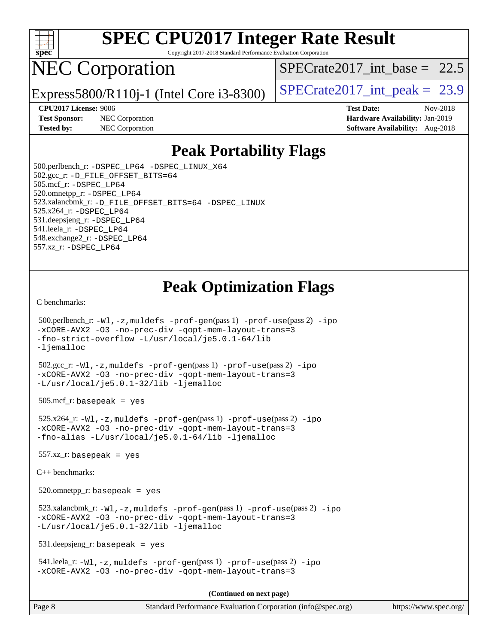

Copyright 2017-2018 Standard Performance Evaluation Corporation

# NEC Corporation

Express5800/R110j-1 (Intel Core i3-8300)  $\vert$  [SPECrate2017\\_int\\_peak =](http://www.spec.org/auto/cpu2017/Docs/result-fields.html#SPECrate2017intpeak) 23.9

SPECrate2017 int\_base =  $22.5$ 

**[Test Sponsor:](http://www.spec.org/auto/cpu2017/Docs/result-fields.html#TestSponsor)** NEC Corporation **[Hardware Availability:](http://www.spec.org/auto/cpu2017/Docs/result-fields.html#HardwareAvailability)** Jan-2019 **[Tested by:](http://www.spec.org/auto/cpu2017/Docs/result-fields.html#Testedby)** NEC Corporation **[Software Availability:](http://www.spec.org/auto/cpu2017/Docs/result-fields.html#SoftwareAvailability)** Aug-2018

**[CPU2017 License:](http://www.spec.org/auto/cpu2017/Docs/result-fields.html#CPU2017License)** 9006 **[Test Date:](http://www.spec.org/auto/cpu2017/Docs/result-fields.html#TestDate)** Nov-2018

# **[Peak Portability Flags](http://www.spec.org/auto/cpu2017/Docs/result-fields.html#PeakPortabilityFlags)**

 500.perlbench\_r: [-DSPEC\\_LP64](http://www.spec.org/cpu2017/results/res2018q4/cpu2017-20181210-10089.flags.html#b500.perlbench_r_peakPORTABILITY_DSPEC_LP64) [-DSPEC\\_LINUX\\_X64](http://www.spec.org/cpu2017/results/res2018q4/cpu2017-20181210-10089.flags.html#b500.perlbench_r_peakCPORTABILITY_DSPEC_LINUX_X64) 502.gcc\_r: [-D\\_FILE\\_OFFSET\\_BITS=64](http://www.spec.org/cpu2017/results/res2018q4/cpu2017-20181210-10089.flags.html#user_peakPORTABILITY502_gcc_r_file_offset_bits_64_5ae949a99b284ddf4e95728d47cb0843d81b2eb0e18bdfe74bbf0f61d0b064f4bda2f10ea5eb90e1dcab0e84dbc592acfc5018bc955c18609f94ddb8d550002c) 505.mcf\_r: [-DSPEC\\_LP64](http://www.spec.org/cpu2017/results/res2018q4/cpu2017-20181210-10089.flags.html#suite_peakPORTABILITY505_mcf_r_DSPEC_LP64) 520.omnetpp\_r: [-DSPEC\\_LP64](http://www.spec.org/cpu2017/results/res2018q4/cpu2017-20181210-10089.flags.html#suite_peakPORTABILITY520_omnetpp_r_DSPEC_LP64) 523.xalancbmk\_r: [-D\\_FILE\\_OFFSET\\_BITS=64](http://www.spec.org/cpu2017/results/res2018q4/cpu2017-20181210-10089.flags.html#user_peakPORTABILITY523_xalancbmk_r_file_offset_bits_64_5ae949a99b284ddf4e95728d47cb0843d81b2eb0e18bdfe74bbf0f61d0b064f4bda2f10ea5eb90e1dcab0e84dbc592acfc5018bc955c18609f94ddb8d550002c) [-DSPEC\\_LINUX](http://www.spec.org/cpu2017/results/res2018q4/cpu2017-20181210-10089.flags.html#b523.xalancbmk_r_peakCXXPORTABILITY_DSPEC_LINUX) 525.x264\_r: [-DSPEC\\_LP64](http://www.spec.org/cpu2017/results/res2018q4/cpu2017-20181210-10089.flags.html#suite_peakPORTABILITY525_x264_r_DSPEC_LP64) 531.deepsjeng\_r: [-DSPEC\\_LP64](http://www.spec.org/cpu2017/results/res2018q4/cpu2017-20181210-10089.flags.html#suite_peakPORTABILITY531_deepsjeng_r_DSPEC_LP64) 541.leela\_r: [-DSPEC\\_LP64](http://www.spec.org/cpu2017/results/res2018q4/cpu2017-20181210-10089.flags.html#suite_peakPORTABILITY541_leela_r_DSPEC_LP64) 548.exchange2\_r: [-DSPEC\\_LP64](http://www.spec.org/cpu2017/results/res2018q4/cpu2017-20181210-10089.flags.html#suite_peakPORTABILITY548_exchange2_r_DSPEC_LP64) 557.xz\_r: [-DSPEC\\_LP64](http://www.spec.org/cpu2017/results/res2018q4/cpu2017-20181210-10089.flags.html#suite_peakPORTABILITY557_xz_r_DSPEC_LP64)

# **[Peak Optimization Flags](http://www.spec.org/auto/cpu2017/Docs/result-fields.html#PeakOptimizationFlags)**

[C benchmarks](http://www.spec.org/auto/cpu2017/Docs/result-fields.html#Cbenchmarks):

```
(info@spec.org)https://www.spec.org/
  500.perlbench_r: -Wl,-z,muldefs -prof-gen(pass 1) -prof-use(pass 2) -ipo
-xCORE-AVX2 -O3 -no-prec-div -qopt-mem-layout-trans=3
-fno-strict-overflow -L/usr/local/je5.0.1-64/lib
-ljemalloc
  502.gcc_r: -Wl,-z,muldefs -prof-gen(pass 1) -prof-use(pass 2) -ipo
-xCORE-AVX2 -O3 -no-prec-div -qopt-mem-layout-trans=3
-L/usr/local/je5.0.1-32/lib -ljemalloc
  505.mcf_r: basepeak = yes
  525.x264_r: -Wl,-z,muldefs -prof-gen(pass 1) -prof-use(pass 2) -ipo
-xCORE-AVX2 -O3 -no-prec-div -qopt-mem-layout-trans=3
-fno-alias -L/usr/local/je5.0.1-64/lib -ljemalloc
 557.xz r: basepeak = yes
C++ benchmarks: 
  520.omnetpp_r: basepeak = yes
  523.xalancbmk_r: -Wl,-z,muldefs -prof-gen(pass 1) -prof-use(pass 2) -ipo
-xCORE-AVX2 -O3 -no-prec-div -qopt-mem-layout-trans=3
-L/usr/local/je5.0.1-32/lib -ljemalloc
  531.deepsjeng_r: basepeak = yes
  541.leela_r: -Wl,-z,muldefs -prof-gen(pass 1) -prof-use(pass 2) -ipo
-xCORE-AVX2 -O3 -no-prec-div -qopt-mem-layout-trans=3
                                     (Continued on next page)
```